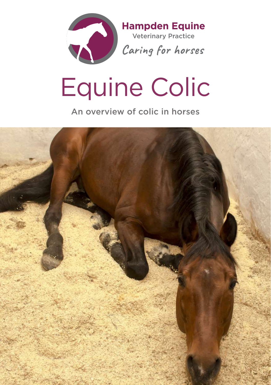

# Equine Colic

An overview of colic in horses

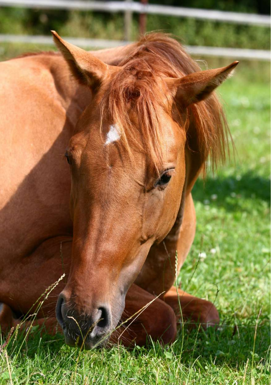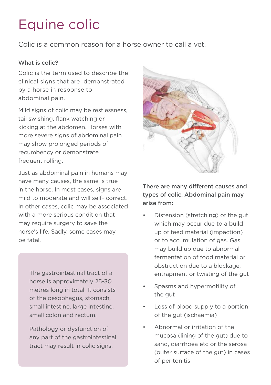# Equine colic

Colic is a common reason for a horse owner to call a vet.

#### What is colic?

Colic is the term used to describe the clinical signs that are demonstrated by a horse in response to abdominal pain.

Mild signs of colic may be restlessness, tail swishing, flank watching or kicking at the abdomen. Horses with more severe signs of abdominal pain may show prolonged periods of recumbency or demonstrate frequent rolling.

Just as abdominal pain in humans may have many causes, the same is true in the horse. In most cases, signs are mild to moderate and will self- correct. In other cases, colic may be associated with a more serious condition that may require surgery to save the horse's life. Sadly, some cases may be fatal.

The gastrointestinal tract of a horse is approximately 25-30 metres long in total. It consists of the oesophagus, stomach, small intestine, large intestine, small colon and rectum.

Pathology or dysfunction of any part of the gastrointestinal tract may result in colic signs.



There are many different causes and types of colic. Abdominal pain may arise from:

- Distension (stretching) of the gut which may occur due to a build up of feed material (impaction) or to accumulation of gas. Gas may build up due to abnormal fermentation of food material or obstruction due to a blockage, entrapment or twisting of the gut
- Spasms and hypermotility of the gut
- Loss of blood supply to a portion of the gut (ischaemia)
- Abnormal or irritation of the mucosa (lining of the gut) due to sand, diarrhoea etc or the serosa (outer surface of the gut) in cases of peritonitis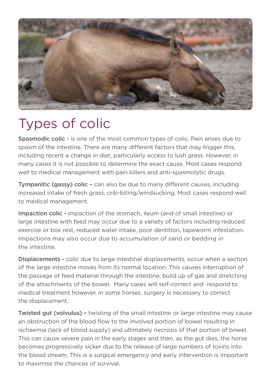

#### Types of colic

Spasmodic colic - is one of the most common types of colic. Pain arises due to spasm of the intestine. There are many different factors that may trigger this, including recent a change in diet, particularly access to lush grass. However, in many cases it is not possible to determine the exact cause. Most cases respond well to medical management with pain killers and anti-spasmolytic drugs.

Tympanitic (gassy) colic – can also be due to many different causes, including increased intake of fresh grass, crib-biting/windsucking. Most cases respond well to medical management.

Impaction colic - impaction of the stomach, ileum (end of small intestine) or large intestine with feed may occur due to a variety of factors including reduced exercise or box rest, reduced water intake, poor dentition, tapeworm infestation. Impactions may also occur due to accumulation of sand or bedding in the intestine.

Displacements - colic due to large intestinal displacements, occur when a section of the large intestine moves from its normal location. This causes interruption of the passage of feed material through the intestine, build up of gas and stretching of the attachments of the bowel. Many cases will self-correct and respond to medical treatment however, in some horses, surgery is necessary to correct the displacement.

Twisted gut (volvulus) – twisting of the small intestine or large intestine may cause an obstruction of the blood flow to the involved portion of bowel resulting in ischaemia (lack of blood supply) and ultimately necrosis of that portion of bowel. This can cause severe pain in the early stages and then, as the gut dies, the horse becomes progressively sicker due to the release of large numbers of toxins into the blood stream. This is a surgical emergency and early intervention is important to maximise the chances of survival.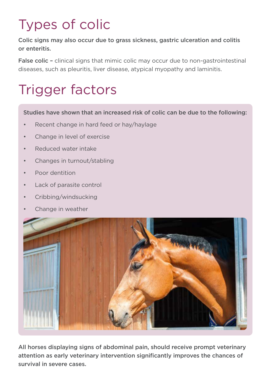# Types of colic

Colic signs may also occur due to grass sickness, gastric ulceration and colitis or enteritis.

False colic - clinical signs that mimic colic may occur due to non-gastrointestinal diseases, such as pleuritis, liver disease, atypical myopathy and laminitis.

# Trigger factors

Studies have shown that an increased risk of colic can be due to the following:

- Recent change in hard feed or hay/haylage
- Change in level of exercise
- Reduced water intake
- Changes in turnout/stabling
- Poor dentition
- Lack of parasite control
- Cribbing/windsucking
- Change in weather



All horses displaying signs of abdominal pain, should receive prompt veterinary attention as early veterinary intervention significantly improves the chances of survival in severe cases.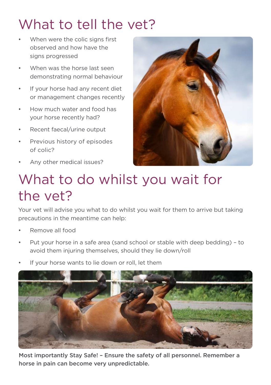### What to tell the vet?

- When were the colic signs first observed and how have the signs progressed
- When was the horse last seen demonstrating normal behaviour
- If your horse had any recent diet or management changes recently
- How much water and food has your horse recently had?
- Recent faecal/urine output
- Previous history of episodes of colic?
- Any other medical issues?



### What to do whilst you wait for the vet?

Your vet will advise you what to do whilst you wait for them to arrive but taking precautions in the meantime can help:

- Remove all food
- Put your horse in a safe area (sand school or stable with deep bedding) to avoid them injuring themselves, should they lie down/roll
- If your horse wants to lie down or roll, let them



Most importantly Stay Safe! – Ensure the safety of all personnel. Remember a horse in pain can become very unpredictable.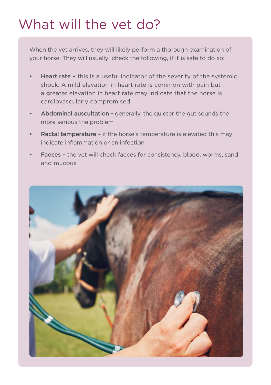#### What will the vet do?

When the vet arrives, they will likely perform a thorough examination of your horse. They will usually check the following, if it is safe to do so:

- Heart rate this is a useful indicator of the severity of the systemic shock. A mild elevation in heart rate is common with pain but a greater elevation in heart rate may indicate that the horse is cardiovascularly compromised.
- Abdominal auscultation generally, the quieter the gut sounds the more serious the problem
- Rectal temperature if the horse's temperature is elevated this may indicate inflammation or an infection
- Faeces the vet will check faeces for consistency, blood, worms, sand and mucous

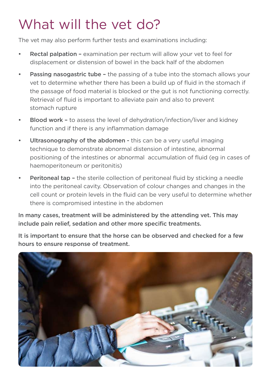### What will the vet do?

The vet may also perform further tests and examinations including:

- Rectal palpation examination per rectum will allow your vet to feel for displacement or distension of bowel in the back half of the abdomen
- Passing nasogastric tube the passing of a tube into the stomach allows your vet to determine whether there has been a build up of fluid in the stomach if the passage of food material is blocked or the gut is not functioning correctly. Retrieval of fluid is important to alleviate pain and also to prevent stomach rupture
- Blood work to assess the level of dehydration/infection/liver and kidney function and if there is any inflammation damage
- Ultrasonography of the abdomen this can be a very useful imaging technique to demonstrate abnormal distension of intestine, abnormal positioning of the intestines or abnormal accumulation of fluid (eg in cases of haemoperitoneum or peritonitis)
- Peritoneal tap the sterile collection of peritoneal fluid by sticking a needle into the peritoneal cavity. Observation of colour changes and changes in the cell count or protein levels in the fluid can be very useful to determine whether there is compromised intestine in the abdomen

In many cases, treatment will be administered by the attending vet. This may include pain relief, sedation and other more specific treatments.

It is important to ensure that the horse can be observed and checked for a few hours to ensure response of treatment.

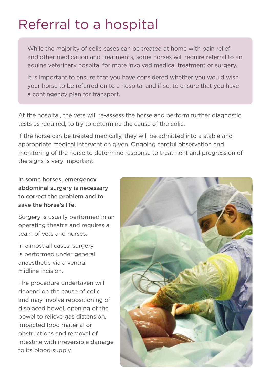#### Referral to a hospital

While the majority of colic cases can be treated at home with pain relief and other medication and treatments, some horses will require referral to an equine veterinary hospital for more involved medical treatment or surgery.

It is important to ensure that you have considered whether you would wish your horse to be referred on to a hospital and if so, to ensure that you have a contingency plan for transport.

At the hospital, the vets will re-assess the horse and perform further diagnostic tests as required, to try to determine the cause of the colic.

If the horse can be treated medically, they will be admitted into a stable and appropriate medical intervention given. Ongoing careful observation and monitoring of the horse to determine response to treatment and progression of the signs is very important.

In some horses, emergency abdominal surgery is necessary to correct the problem and to save the horse's life.

Surgery is usually performed in an operating theatre and requires a team of vets and nurses.

In almost all cases, surgery is performed under general anaesthetic via a ventral midline incision.

The procedure undertaken will depend on the cause of colic and may involve repositioning of displaced bowel, opening of the bowel to relieve gas distension, impacted food material or obstructions and removal of intestine with irreversible damage to its blood supply.

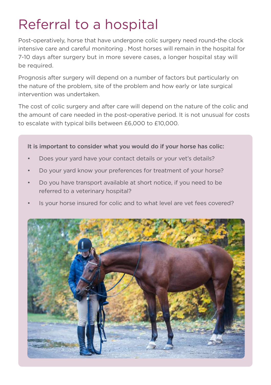# Referral to a hospital

Post-operatively, horse that have undergone colic surgery need round-the clock intensive care and careful monitoring . Most horses will remain in the hospital for 7-10 days after surgery but in more severe cases, a longer hospital stay will be required.

Prognosis after surgery will depend on a number of factors but particularly on the nature of the problem, site of the problem and how early or late surgical intervention was undertaken.

The cost of colic surgery and after care will depend on the nature of the colic and the amount of care needed in the post-operative period. It is not unusual for costs to escalate with typical bills between £6,000 to £10,000.

It is important to consider what you would do if your horse has colic:

- Does your yard have your contact details or your vet's details?
- Do your yard know your preferences for treatment of your horse?
- Do you have transport available at short notice, if you need to be referred to a veterinary hospital?
- Is your horse insured for colic and to what level are vet fees covered?

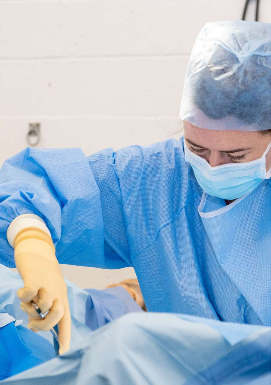